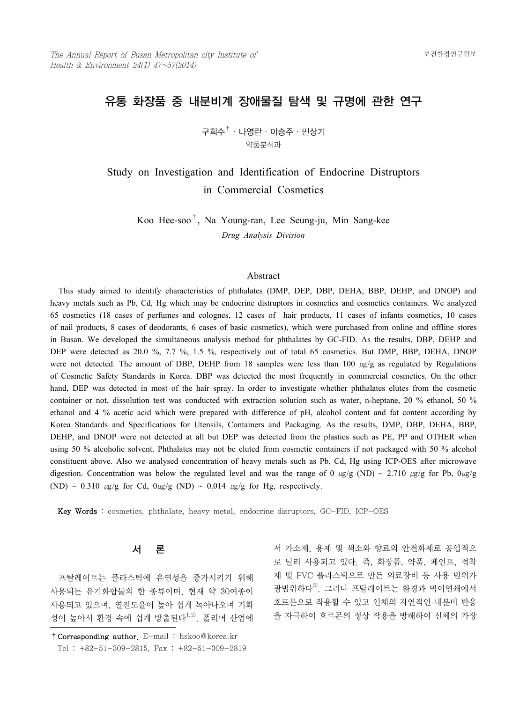# 유통 화장품 중 내분비계 장애물질 탐색 및 규명에 관한 연구

구희수†·나영란·이승주·민상기 약품분석과

Study on Investigation and Identification of Endocrine Distruptors in Commercial Cosmetics

Koo Hee-soo†, Na Young-ran, Lee Seung-ju, Min Sang-kee *Drug Analysis Division*

#### Abstract

 This study aimed to identify characteristics of phthalates (DMP, DEP, DBP, DEHA, BBP, DEHP, and DNOP) and heavy metals such as Pb, Cd, Hg which may be endocrine distruptors in cosmetics and cosmetics containers. We analyzed 65 cosmetics (18 cases of perfumes and colognes, 12 cases of hair products, 11 cases of infants cosmetics, 10 cases of nail products, 8 cases of deodorants, 6 cases of basic cosmetics), which were purchased from online and offline stores in Busan. We developed the simultaneous analysis method for phthalates by GC-FID. As the results, DBP, DEHP and DEP were detected as 20.0 %, 7.7 %, 1.5 %, respectively out of total 65 cosmetics. But DMP, BBP, DEHA, DNOP were not detected. The amount of DBP, DEHP from 18 samples were less than 100  $\mu g/g$  as regulated by Regulations of Cosmetic Safety Standards in Korea. DBP was detected the most frequently in commercial cosmetics. On the other hand, DEP was detected in most of the hair spray. In order to investigate whether phthalates elutes from the cosmetic container or not, dissolution test was conducted with extraction solution such as water, n-heptane, 20 % ethanol, 50 % ethanol and 4 % acetic acid which were prepared with difference of pH, alcohol content and fat content according by Korea Standards and Specifications for Utensils, Containers and Packaging. As the results, DMP, DBP, DEHA, BBP, DEHP, and DNOP were not detected at all but DEP was detected from the plastics such as PE, PP and OTHER when using 50 % alcoholic solvent. Phthalates may not be eluted from cosmetic containers if not packaged with 50 % alcohol constituent above. Also we analysed concentration of heavy metals such as Pb, Cd, Hg using ICP-OES after microwave digestion. Concentration was below the regulated level and was the range of 0  $\mu$ g/g (ND) ~ 2.710  $\mu$ g/g for Pb, 0 $\mu$ g/g (ND) ~ 0.310  $\mu$ g/g for Cd,  $0\mu$ g/g (ND) ~ 0.014  $\mu$ g/g for Hg, respectively.

Key Words : cosmetics, phthalate, heavy metal, endocrine disruptors, GC-FID, ICP-OES

# 서 론

 프탈레이트는 플라스틱에 유연성을 증가시키기 위해 사용되는 유기화합물의 한 종류이며, 현재 약 30여종이 사용되고 있으며, 열전도율이 높아 쉽게 녹아나오며 기화 성이 높아서 환경 속에 쉽게 방출된다<sup>1,2)</sup>. 폴리머 산업에

서 가소제, 용제 및 색소와 향료의 안전화제로 공업적으 로 널리 사용되고 있다. 즉, 화장품, 약품, 페인트, 접착 제 및 PVC 플라스틱으로 만든 의료장비 등 사용 범위가 광범위하다<sup>3)</sup>. 그러나 프탈레이트는 환경과 먹이연쇄에서 호르몬으로 작용할 수 있고 인체의 자연적인 내분비 반응 을 자극하여 호르몬의 정상 작용을 방해하여 신체의 가장

<sup>†</sup>Corresponding author. E-mail : hskoo@korea.kr Tel : +82-51-309-2815, Fax : +82-51-309-2819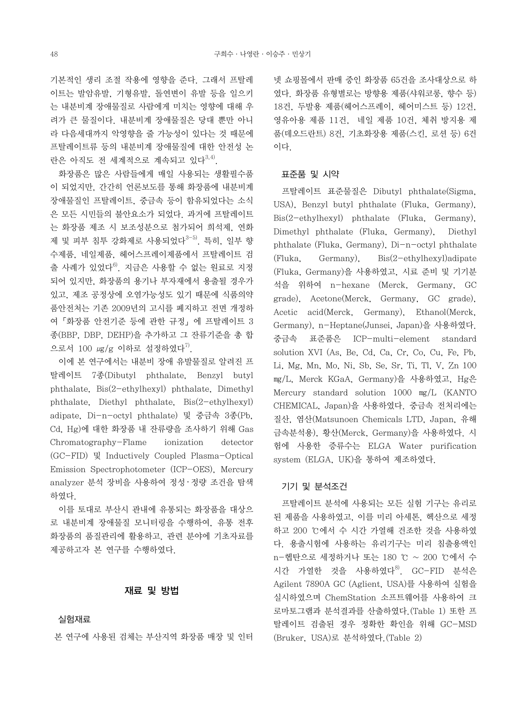기본적인 생리 조절 작용에 영향을 준다. 그래서 프탈레 이트는 발암유발, 기형유발, 돌연변이 유발 등을 일으키 는 내분비계 장애물질로 사람에게 미치는 영향에 대해 우 려가 큰 물질이다. 내분비계 장애물질은 당대 뿐만 아니 라 다음세대까지 악영향을 줄 가능성이 있다는 것 때문에 프탈레이트류 등의 내분비계 장애물질에 대한 안전성 논 란은 아직도 전 세계적으로 계속되고 있다<sup>3,4)</sup>.

 화장품은 많은 사람들에게 매일 사용되는 생활필수품 이 되었지만, 간간히 언론보도를 통해 화장품에 내분비계 장애물질인 프탈레이트, 중금속 등이 함유되었다는 소식 은 모든 시민들의 불안요소가 되었다. 과거에 프탈레이트 는 화장품 제조 시 보조성분으로 첨가되어 희석제, 연화 제 및 피부 침투 강화제로 사용되었다<sup>3-5)</sup>. 특히, 일부 향 수제품, 네일제품, 헤어스프레이제품에서 프탈레이트 검 출 사례가 있었다<sup>6)</sup>. 지금은 사용할 수 없는 원료로 지정 되어 있지만, 화장품의 용기나 부자재에서 용출될 경우가 있고, 제조 공정상에 오염가능성도 있기 때문에 식품의약 품안전처는 기존 2009년의 고시를 폐지하고 전면 개정하 여「화장품 안전기준 등에 관한 규정」에 프탈레이트 3 종(BBP, DBP, DEHP)을 추가하고 그 잔류기준을 총 합 으로서 100  $\mu$ g/g 이하로 설정하였다<sup>7)</sup>.

 이에 본 연구에서는 내분비 장애 유발물질로 알려진 프 탈레이트 7종(Dibutyl phthalate, Benzyl butyl phthalate, Bis(2-ethylhexyl) phthalate, Dimethyl phthalate, Diethyl phthalate, Bis(2-ethylhexyl) adipate, Di-n-octyl phthalate) 및 중금속 3종(Pb, Cd, Hg)에 대한 화장품 내 잔류량을 조사하기 위해 Gas Chromatography-Flame ionization detector (GC-FID) 및 Inductively Coupled Plasma-Optical Emission Spectrophotometer (ICP-OES), Mercury analyzer 분석 장비을 사용하여 정성 · 정량 조건을 탐색 하였다.

 이를 토대로 부산시 관내에 유통되는 화장품을 대상으 로 내분비계 장애물질 모니터링을 수행하여, 유통 전후 화장품의 품질관리에 활용하고, 관련 분야에 기초자료를 제공하고자 본 연구를 수행하였다.

#### 재료 및 방법

실험재료

본 연구에 사용된 검체는 부산지역 화장품 매장 및 인터

넷 쇼핑몰에서 판매 중인 화장품 65건을 조사대상으로 하 였다. 화장품 유형별로는 방향용 제품(샤워코롱, 향수 등) 18건, 두발용 제품(헤어스프레이, 헤어미스트 등) 12건, 영유아용 제품 11건, 네일 제품 10건, 체취 방지용 제 품(데오드란트) 8건, 기초화장용 제품(스킨, 로션 등) 6건 이다.

# 표준품 및 시약

 프탈레이트 표준물질은 Dibutyl phthalate(Sigma, USA), Benzyl butyl phthalate (Fluka, Germany), Bis(2-ethylhexyl) phthalate (Fluka, Germany), Dimethyl phthalate (Fluka, Germany), Diethyl phthalate (Fluka, Germany), Di-n-octyl phthalate (Fluka, Germany), Bis(2-ethylhexyl)adipate (Fluka, Germany)을 사용하였고, 시료 준비 및 기기분 석을 위하여 n-hexane (Merck, Germany, GC grade), Acetone(Merck, Germany, GC grade), Acetic acid(Merck, Germany), Ethanol(Merck, Germany), n-Heptane(Junsei, Japan)을 사용하였다. 중금속 표준품은 ICP-multi-element standard solution XVI (As, Be, Cd, Ca, Cr, Co, Cu, Fe, Pb, Li, Mg, Mn, Mo, Ni, Sb, Se, Sr, Ti, Tl, V, Zn 100 ㎎/L, Merck KGaA, Germany)을 사용하였고, Hg은 Mercury standard solution 1000 ㎎/L (KANTO CHEMICAL, Japan)을 사용하였다. 중금속 전처리에는 질산, 염산(Matsunoen Chemicals LTD, Japan, 유해 금속분석용), 황산(Merck, Germany)을 사용하였다. 시 험에 사용한 증류수는 ELGA Water purification system (ELGA, UK)을 통하여 제조하였다.

#### 기기 및 분석조건

 프탈레이트 분석에 사용되는 모든 실험 기구는 유리로 된 제품을 사용하였고, 이를 미리 아세톤, 헥산으로 세정 하고 200 ℃에서 수 시간 가열해 건조한 것을 사용하였 다. 용출시험에 사용하는 유리기구는 미리 침출용액인 n-헵탄으로 세정하거나 또는 180 ℃ ~ 200 ℃에서 수 시간 가열한 것을 사용하였다<sup>8)</sup>. GC-FID 분석은 Agilent 7890A GC (Aglient, USA)를 사용하여 실험을 실시하였으며 ChemStation 소프트웨어를 사용하여 크 로마토그램과 분석결과를 산출하였다.(Table 1) 또한 프 탈레이트 검출된 경우 정확한 확인을 위해 GC-MSD (Bruker, USA)로 분석하였다.(Table 2)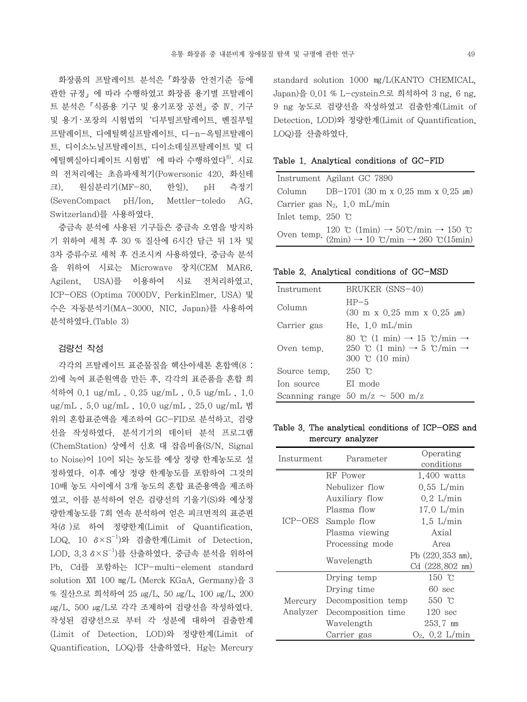화장품의 프탈레이트 분석은「화장품 안전기준 등에 관한 규정」에 따라 수행하였고 화장품 용기별 프탈레이 트 분석은「식품용 기구 및 용기포장 공전」중 Ⅳ. 기구 및 용기·포장의 시험법의 '디부틸프탈레이트, 벤질부틸 프탈레이트, 디에틸헥실프탈레이트, 디-n-옥틸프탈레이 트, 디이소노닐프탈레이트, 디이소데실프탈레이트 및 디 에틸헥실아디페이트 시험법'에 따라 수행하였다<sup>8)</sup>. 시료 의 전처리에는 초음파세척기(Powersonic 420, 화신테 크), 원심분리기(MF-80, 한일), pH 측정기 (SevenCompact pH/Ion, Mettler-toledo AG, Switzerland)를 사용하였다.

 중금속 분석에 사용된 기구들은 중금속 오염을 방지하 기 위하여 세척 후 30 % 질산에 6시간 담근 뒤 1차 및 3차 증류수로 세척 후 건조시켜 사용하였다. 중금속 분석 을 위하여 시료는 Microwave 장치(CEM MAR6, Agilent, USA)를 이용하여 시료 전처리하였고, ICP-OES (Optima 7000DV, PerkinElmer, USA) 및 수은 자동분석기(MA-3000, NIC, Japan)를 사용하여 분석하였다.(Table 3)

#### 검량선 작성

 각각의 프탈레이트 표준물질을 헥산․아세톤 혼합액(8 : 2)에 녹여 표준원액을 만든 후, 각각의 표준품을 혼합 희 석하여 0.1 ug/mL , 0.25 ug/mL , 0.5 ug/mL , 1.0 ug/mL , 5.0 ug/mL , 10.0 ug/mL , 25.0 ug/mL 범 위의 혼합표준액을 제조하여 GC-FID로 분석하고, 검량 선을 작성하였다. 분석기기의 데이터 분석 프로그램 (ChemStation) 상에서 신호 대 잡음비율(S/N, Signal to Noise)이 10이 되는 농도를 예상 정량 한계농도로 설 정하였다. 이후 예상 정량 한계농도를 포함하여 그것의 10배 농도 사이에서 3개 농도의 혼합 표준용액을 제조하 였고, 이를 분석하여 얻은 검량선의 기울기(S)와 예상정 량한계농도를 7회 연속 분석하여 얻은 피크면적의 표준편 차(δ)로 하여 정량한계(Limit of Quantification, LOQ, 10 δ×S-1)와 검출한계(Limit of Detection, LOD, 3.3 δ×S-1)를 산출하였다. 중금속 분석을 위하여 Pb, Cd를 포함하는 ICP-multi-element standard solution  $\overline{X}$  100  $mg/L$  (Merck KGaA, Germany)을 3 % 질산으로 희석하여 25 <u>ωg</u>/L, 50 μg/L, 100 μg/L, 200 μg/L, 500 μg/L로 각각 조제하여 검량선을 작성하였다. 작성된 검량선으로 부터 각 성분에 대하여 검출한계 (Limit of Detection, LOD)와 정량한계(Limit of Quantification, LOQ)를 산출하였다. Hg는 Mercury standard solution 1000 ㎎/L(KANTO CHEMICAL, Japan)을 0.01 % L-cystein으로 희석하여 3 ng, 6 ng, 9 ng 농도로 검량선을 작성하였고 검출한계(Limit of Detection, LOD)와 정량한계(Limit of Quantification, LOQ)를 산출하였다.

#### Table 1. Analytical conditions of GC-FID

|                             | Instrument Agilant GC 7890                                                                                                                                                                                                                           |
|-----------------------------|------------------------------------------------------------------------------------------------------------------------------------------------------------------------------------------------------------------------------------------------------|
|                             | Column DB-1701 (30 m x 0.25 mm x 0.25 $\mu$ m)                                                                                                                                                                                                       |
|                             | Carrier gas $N_2$ , 1.0 mL/min                                                                                                                                                                                                                       |
| Inlet temp. 250 $\degree$ C |                                                                                                                                                                                                                                                      |
|                             | Oven temp. $120 \text{ }^{\circ}\text{C (1min)} \rightarrow 50 \text{ }^{\circ}\text{C/min} \rightarrow 150 \text{ }^{\circ}\text{C}$<br>(2min) $\rightarrow 10 \text{ }^{\circ}\text{C/min} \rightarrow 260 \text{ }^{\circ}\text{C}(15\text{min})$ |

Table 2. Analytical conditions of GC-MSD

| Instrument   | BRUKER (SNS-40)                                                                                                                       |
|--------------|---------------------------------------------------------------------------------------------------------------------------------------|
| Column       | $HP-5$<br>$(30 \text{ m x } 0.25 \text{ mm x } 0.25 \text{ \mu m})$                                                                   |
| Carrier gas  | He. $1.0 \text{ mL/min}$                                                                                                              |
| Oven temp.   | 80 °C $(1 \text{ min}) \rightarrow 15$ °C/min $\rightarrow$<br>250 °C (1 min) $\rightarrow$ 5 °C/min $\rightarrow$<br>300 °C (10 min) |
| Source temp. | $250$ c                                                                                                                               |
| Ion source   | EI mode                                                                                                                               |
|              | Scanning range 50 m/z $\sim$ 500 m/z                                                                                                  |

# Table 3. The analytical conditions of ICP-OES and mercury analyzer

| Insturment | Parameter           | Operating                |  |  |  |
|------------|---------------------|--------------------------|--|--|--|
|            |                     | conditions               |  |  |  |
|            | RF Power            | $1,400$ watts            |  |  |  |
|            | Nebulizer flow      | $0.55$ L/min             |  |  |  |
|            | Auxiliary flow      | $0.2$ L/min              |  |  |  |
|            | Plasma flow         | $17.0$ L/min             |  |  |  |
|            | ICP-OES Sample flow | $1.5$ L/min              |  |  |  |
|            | Plasma viewing      | Axial                    |  |  |  |
|            | Processing mode     | Area                     |  |  |  |
|            |                     | Pb (220,353 nm).         |  |  |  |
|            | Wavelength          | $Cd(228,802 \text{ nm})$ |  |  |  |
|            | Drying temp         | 150 $\degree$ C          |  |  |  |
|            | Drying time         | $60 \text{ sec}$         |  |  |  |
| Mercury    | Decomposition temp  | 550 °C                   |  |  |  |
| Analyzer   | Decomposition time  | $120 \text{ sec}$        |  |  |  |
|            | Wavelength          | 253.7 nm                 |  |  |  |
|            | Carrier gas         | $O_2$ , $0.2$ L/min      |  |  |  |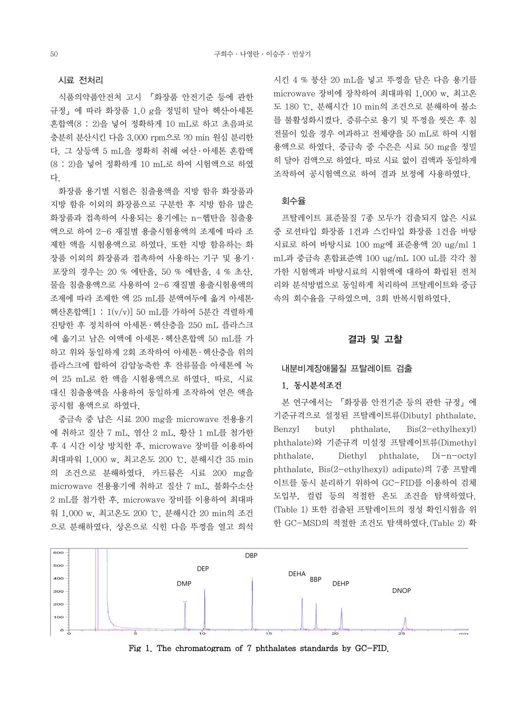#### 시료 전처리

 식품의약품안전처 고시 「화장품 안전기준 등에 관한 규정」에 따라 화장품 1.0 g을 정밀히 달아 헥산․아세톤 혼합액(8 : 2)을 넣어 정확하게 10 mL로 하고 초음파로 충분히 분산시킨 다음 3,000 rpm으로 20 min 원심 분리한 다. 그 상등액 5 mL을 정확히 취해 헥산 ․ 아세톤 혼합액 (8 : 2)을 넣어 정확하게 10 mL로 하여 시험액으로 하였 다.

 화장품 용기별 시험은 침출용액을 지방 함유 화장품과 지방 함유 이외의 화장품으로 구분한 후 지방 함유 많은 화장품과 접촉하여 사용되는 용기에는 n-헵탄을 침출용 액으로 하여 2-6 재질별 용출시험용액의 조제에 따라 조 제한 액을 시험용액으로 하였다. 또한 지방 함유하는 화 장품 이외의 화장품과 접촉하여 사용하는 기구 및 용기 ․ 포장의 경우는 20 % 에탄올, 50 % 에탄올, 4 % 초산, 물을 침출용액으로 사용하여 2-6 재질별 용출시험용액의 조제에 따라 조제한 액 25 mL를 분액여두에 옮겨 아세톤․ 헥산혼합액[1 : 1(v/v)] 50 mL를 가하여 5분간 격렬하게 진탕한 후 정치하여 아세톤 ․ 헥산층을 250 mL 플라스크 에 옮기고 남은 여액에 아세톤 ․ 헥산혼합액 50 mL를 가 하고 위와 동일하게 2회 조작하여 아세톤 ․ 헥산층을 위의 플라스크에 합하여 감압농축한 후 잔류물을 아세톤에 녹 여 25 mL로 한 액을 시험용액으로 하였다. 따로, 시료 대신 침출용액을 사용하여 동일하게 조작하여 얻은 액을 공시험 용액으로 하였다.

 중금속 중 납은 시료 200 mg을 microwave 전용용기 에 취하고 질산 7 mL, 염산 2 mL, 황산 1 mL를 첨가한 후 4 시간 이상 방치한 후, microwave 장비를 이용하여 최대파워 1,000 w, 최고온도 200 ℃, 분해시간 35 min 의 조건으로 분해하였다. 카드뮴은 시료 200 mg을 microwave 전용용기에 취하고 질산 7 mL, 불화수소산 2 mL를 첨가한 후, microwave 장비를 이용하여 최대파 워 1,000 w, 최고온도 200 ℃, 분해시간 20 min의 조건 으로 분해하였다. 상온으로 식힌 다음 뚜껑을 열고 희석 시킨 4 % 붕산 20 mL을 넣고 뚜껑을 닫은 다음 용기를 microwave 장비에 장착하여 최대파워 1,000 w, 최고온 도 180 ℃, 분해시간 10 min의 조건으로 분해하여 불소 를 불활성화시켰다. 증류수로 용기 및 뚜껑을 씻은 후 침 전물이 있을 경우 여과하고 전체량을 50 mL로 하여 시험 용액으로 하였다. 중금속 중 수은은 시료 50 mg을 정밀 히 달아 검액으로 하였다. 따로 시료 없이 검액과 동일하게 조작하여 공시험액으로 하여 결과 보정에 사용하였다.

## 회수율

 프탈레이트 표준물질 7종 모두가 검출되지 않은 시료 중 로션타입 화장품 1건과 스킨타입 화장품 1건을 바탕 시료로 하여 바탕시료 100 mg에 표준용액 20 ug/ml 1 mL과 중금속 혼합표준액 100 ug/mL 100 uL를 각각 첨 가한 시험액과 바탕시료의 시험액에 대하여 확립된 전처 리와 분석방법으로 동일하게 처리하여 프탈레이트와 중금 속의 회수율을 구하였으며, 3회 반복시험하였다.

# 결과 및 고찰

## 내분비계장애물질 프탈레이트 검출

#### 1. 동시분석조건

 본 연구에서는 「화장품 안전기준 등의 관한 규정」에 기준규격으로 설정된 프탈레이트류(Dibutyl phthalate, Benzyl butyl phthalate, Bis(2-ethylhexyl) phthalate)와 기준규격 미설정 프탈레이트류(Dimethyl phthalate, Diethyl phthalate, Di-n-octyl phthalate, Bis(2-ethylhexyl) adipate)의 7종 프탈레 이트를 동시 분리하기 위하여 GC-FID를 이용하여 검체 도입부, 컬럼 등의 적절한 온도 조건을 탐색하였다. (Table 1) 또한 검출된 프탈레이트의 정성 확인시험을 위 한 GC-MSD의 적절한 조건도 탐색하였다.(Table 2) 확



Fig 1. The chromatogram of 7 phthalates standards by GC-FID.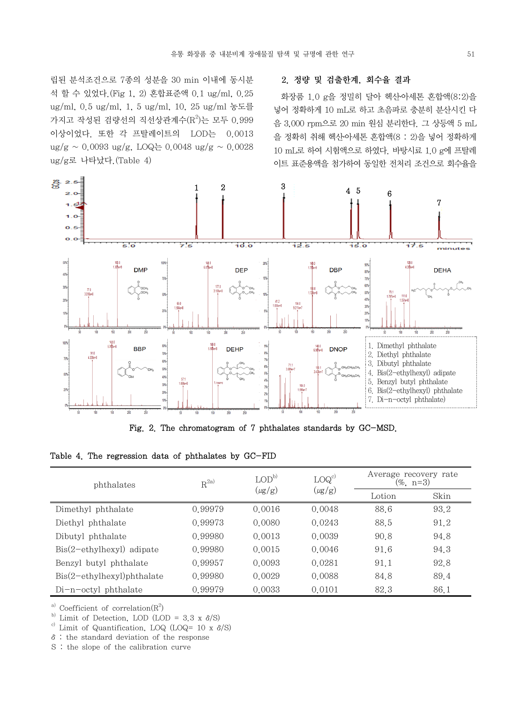립된 분석조건으로 7종의 성분을 30 min 이내에 동시분 석 할 수 있었다.(Fig 1, 2) 혼합표준액 0.1 ug/ml, 0.25 ug/ml, 0.5 ug/ml, 1, 5 ug/ml, 10, 25 ug/ml 농도를 가지고 작성된 검량선의 직선상관계수( $\mathrm{R}^2$ )는 모두 0.999 이상이었다. 또한 각 프탈레이트의 LOD는 0.0013  $\frac{ug}{g} \sim 0.0093 \frac{ug}{g}$ , LOQ는 0.0048 ug/g ~ 0.0028 ug/g로 나타났다.(Table 4)

#### 2. 정량 및 검출한계, 회수율 결과

화장품  $1.0$  g을 정밀히 달아 헥산아세톤 혼합액 $(8:2)$ 을 넣어 정확하게 10 mL로 하고 초음파로 충분히 분산시킨 다 음 3,000 rpm으로 20 min 원심 분리한다. 그 상등액 5 mL 을 정확히 취해 헥산․아세톤 혼합액(8 : 2)을 넣어 정확하게 10 mL로 하여 시험액으로 하였다. 바탕시료 1.0 g에 프탈레 이트 표준용액을 첨가하여 동일한 전처리 조건으로 회수율을



Fig. 2. The chromatogram of 7 phthalates standards by GC-MSD.

|  |  |  |  |  |  | Table 4. The regression data of phthalates by GC-FID |  |  |  |
|--|--|--|--|--|--|------------------------------------------------------|--|--|--|
|--|--|--|--|--|--|------------------------------------------------------|--|--|--|

| phthalates                                | $R^{2a)}$ | $\text{LOD}^{\text{b}}$ | LOG <sup>c</sup> | Average recovery rate<br>$(\% , n=3)$ |      |  |
|-------------------------------------------|-----------|-------------------------|------------------|---------------------------------------|------|--|
|                                           |           | $(\mu{\rm g/g})$        | $(\mu{\rm g/g})$ | Lotion                                | Skin |  |
| Dimethyl phthalate                        | 0.99979   | 0.0016                  | 0.0048           | 88.6                                  | 93.2 |  |
| Diethyl phthalate                         | 0.99973   | 0.0080                  | 0.0243           | 88.5                                  | 91.2 |  |
| Dibutyl phthalate                         | 0.99980   | 0.0013                  | 0.0039           | 90.8                                  | 94.8 |  |
| $\text{Bis}(2-\text{ethylhexyl})$ adipate | 0.99980   | 0.0015                  | 0.0046           | 91.6                                  | 94.3 |  |
| Benzyl butyl phthalate                    | 0.99957   | 0.0093                  | 0.0281           | 91.1                                  | 92.8 |  |
| $ Bis(2-ethylhexyl)$ phthalate            | 0.99980   | 0.0029                  | 0.0088           | 84.8                                  | 89.4 |  |
| $Di-n-octyl$ phthalate                    | 0.99979   | 0.0033                  | 0.0101           | 82.3                                  | 86.1 |  |

<sup>a)</sup> Coefficient of correlation( $R^2$ )

<sup>b)</sup> Limit of Detection, LOD (LOD = 3.3 x  $\delta$ /S)

<sup>c)</sup> Limit of Quantification, LOQ (LOQ= 10 x  $\delta$ /S)

δ: the standard deviation of the response

S : the slope of the calibration curve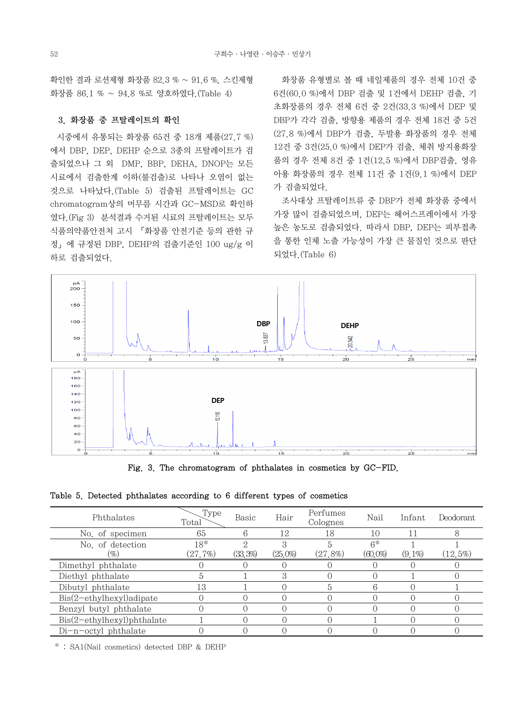확인한 결과 로션제형 화장품 82.3 % ~ 91.6 %, 스킨제형 화장품 86.1 % ~ 94.8 %로 양호하였다.(Table 4)

# 3. 화장품 중 프탈레이트의 확인

시중에서 유통되는 화장품 65건 중 18개 제품(27.7 %) 에서 DBP, DEP, DEHP 순으로 3종의 프탈레이트가 검 출되었으나 그 외 DMP, BBP, DEHA, DNOP는 모든 시료에서 검출한계 이하(불검출)로 나타나 오염이 없는 것으로 나타났다.(Table 5) 검출된 프탈레이트는 GC chromatogram상의 머무름 시간과 GC-MSD로 확인하 였다.(Fig 3) 분석결과 수거된 시료의 프탈레이트는 모두 식품의약품안전처 고시 「화장품 안전기준 등의 관한 규 정」에 규정된 DBP, DEHP의 검출기준인 100 ug/g 이 하로 검출되었다.

 화장품 유형별로 볼 때 네일제품의 경우 전체 10건 중 6건(60.0 %)에서 DBP 검출 및 1건에서 DEHP 검출, 기 초화장품의 경우 전체 6건 중 2건(33.3 %)에서 DEP 및 DBP가 각각 검출, 방향용 제품의 경우 전체 18건 중 5건 (27.8 %)에서 DBP가 검출, 두발용 화장품의 경우 전체 12건 중 3건(25.0 %)에서 DEP가 검출, 체취 방지용화장 품의 경우 전체 8건 중 1건(12.5 %)에서 DBP검출, 영유 아용 화장품의 경우 전체 11건 중 1건(9.1 %)에서 DEP 가 검출되었다.

 조사대상 프탈레이트류 중 DBP가 전체 화장품 중에서 가장 많이 검출되었으며, DEP는 헤어스프레이에서 가장 높은 농도로 검출되었다. 따라서 DBP, DEP는 피부접촉 을 통한 인체 노출 가능성이 가장 큰 물질인 것으로 판단 되었다.(Table 6)



Fig. 3. The chromatogram of phthalates in cosmetics by GC-FID.

| Table 5. Detected phthalates according to 6 different types of cosmetics |
|--------------------------------------------------------------------------|
|--------------------------------------------------------------------------|

| Phthalates                     | Type<br>Total  | Basic   | Hair       | Perfumes<br>Colognes | Nail               | Infant    | Deodorant   |
|--------------------------------|----------------|---------|------------|----------------------|--------------------|-----------|-------------|
| No. of specimen                | 65             | 6       | 12         | 18                   | 10                 |           | 8           |
| No. of detection<br>96)        | 18*<br>(27.7%) | (33,3%) | $(25,0\%)$ | $(27, 8\%)$          | $6*$<br>$(60,0\%)$ | $(9.1\%)$ | $(12, 5\%)$ |
| Dimethyl phthalate             |                |         |            |                      |                    |           |             |
| Diethyl phthalate              | 5              |         | З          |                      |                    |           |             |
| Dibutyl phthalate              | 13             |         |            | 5                    | 6                  |           |             |
| $ Bis(2-ethylhexyl) adipate$   |                |         |            |                      |                    |           |             |
| Benzyl butyl phthalate         |                |         |            |                      |                    |           |             |
| $ Bis(2-ethylhexyl)$ phthalate |                |         |            |                      |                    |           |             |
| Di-n-octyl phthalate           |                |         |            |                      |                    |           |             |

\* : SA1(Nail cosmetics) detected DBP & DEHP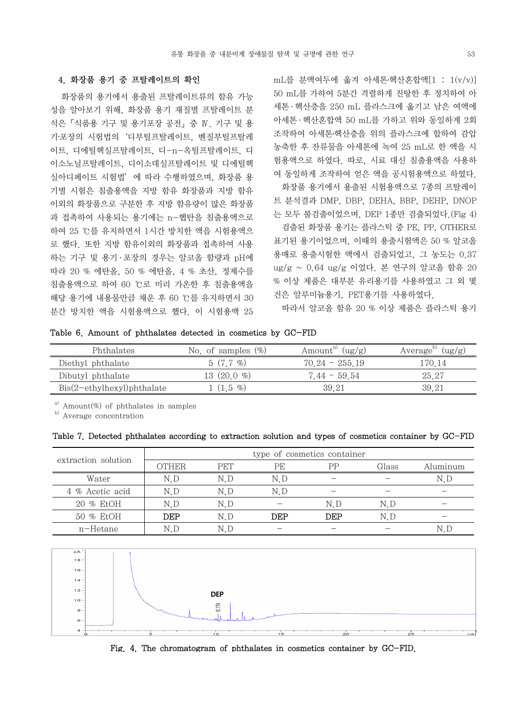# 4. 화장품 용기 중 프탈레이트의 확인

 화장품의 용기에서 용출된 프탈레이트류의 함유 가능 성을 알아보기 위해, 화장품 용기 재질별 프탈레이트 분 석은「식품용 기구 및 용기포장 공전」중 Ⅳ. 기구 및 용 기‧포장의 시험법의'디부틸프탈레이트, 벤질부틸프탈레 이트, 디에틸헥실프탈레이트, 디-n-옥틸프탈레이트, 디 이소노닐프탈레이트, 디이소데실프탈레이트 및 디에틸헥 실아디페이트 시험법'에 따라 수행하였으며, 화장품 용 기별 시험은 침출용액을 지방 함유 화장품과 지방 함유 이외의 화장품으로 구분한 후 지방 함유량이 많은 화장품 과 접촉하여 사용되는 용기에는 n-헵탄을 침출용액으로 하여 25 ℃를 유지하면서 1시간 방치한 액을 시험용액으 로 했다. 또한 지방 함유이외의 화장품과 접촉하여 사용 하는 기구 및 용기·포장의 경우는 알코올 함량과 pH에 따라 20 % 에탄올, 50 % 에탄올, 4 % 초산, 정제수를 침출용액으로 하여 60 ℃로 미리 가온한 후 침출용액을 해당 용기에 내용물만큼 채운 후 60 ℃를 유지하면서 30 분간 방치한 액을 시험용액으로 했다. 이 시험용액 25

 $mL \equiv$  분액여두에 옮겨 아세톤•헥산혼합액 $[1 : 1(v/v)]$ 50 mL를 가하여 5분간 격렬하게 진탕한 후 정치하여 아 세톤 · 헥산층을 250 mL 플라스크에 옮기고 남은 여액에 아세톤 ․ 헥산혼합액 50 mL를 가하고 위와 동일하게 2회 조작하여 아세톤․헥산층을 위의 플라스크에 합하여 감압 농축한 후 잔류물을 아세톤에 녹여 25 mL로 한 액을 시 험용액으로 하였다. 따로, 시료 대신 침출용액을 사용하 여 동일하게 조작하여 얻은 액을 공시험용액으로 하였다. 화장품 용기에서 용출된 시험용액으로 7종의 프탈레이 트 분석결과 DMP, DBP, DEHA, BBP, DEHP, DNOP 는 모두 불검출이었으며, DEP 1종만 검출되었다.(Fig 4) 검출된 화장품 용기는 플라스틱 중 PE, PP, OTHER로 표기된 용기이었으며, 이때의 용출시험액은 50 % 알코올 용매로 용출시험한 액에서 검출되었고, 그 농도는 0.37 ug/g ~ 0.64 ug/g 이었다. 본 연구의 알코올 함유 20 % 이상 제품은 대부분 유리용기를 사용하였고 그 외 몇 건은 알루미늄용기, PET용기를 사용하였다.

따라서 알코올 함유 20 % 이상 제품은 플라스틱 용기

Table 6. Amount of phthalates detected in cosmetics by GC-FID

| Phthalates                                   | No. of samples $(\%)$ | Amount <sup>a</sup><br>(ug/g) | (ug/g)<br>Average <sup>'</sup> |
|----------------------------------------------|-----------------------|-------------------------------|--------------------------------|
| Diethyl phthalate                            | $5(7.7\%)$            | $70.24 - 255.19$              | 170.14                         |
| Dibutyl phthalate                            | 13 $(20.0 %)$         | $7.44 - 59.54$                | 25.27                          |
| $\operatorname{Bis}(2-ethylhexyl)$ phthalate | $(1.5 \, \%)$         | 39.21                         | 39.21                          |

 $a)$  Amount(%) of phthalates in samples

b) Average concentration

Table 7. Detected phthalates according to extraction solution and types of cosmetics container by GC-FID

| extraction solution | type of cosmetics container |            |     |     |       |          |  |  |  |
|---------------------|-----------------------------|------------|-----|-----|-------|----------|--|--|--|
|                     | <b>OTHER</b>                | <b>PET</b> | PE  | PP  | Glass | Aluminum |  |  |  |
| Water               | N.D                         | N D        | N.D |     |       | N.D      |  |  |  |
| 4 % Acetic acid     | N.D                         | N.D        | N.D |     |       |          |  |  |  |
| 20 % EtOH           | N.D                         | N.D        |     | N.D | N.D   |          |  |  |  |
| 50 % EtOH           | DEP                         | N D        | DEP | DEP | N.D   |          |  |  |  |
| n-Hetane            | N.L                         | N.D        |     |     |       |          |  |  |  |



Fig. 4. The chromatogram of phthalates in cosmetics container by GC-FID.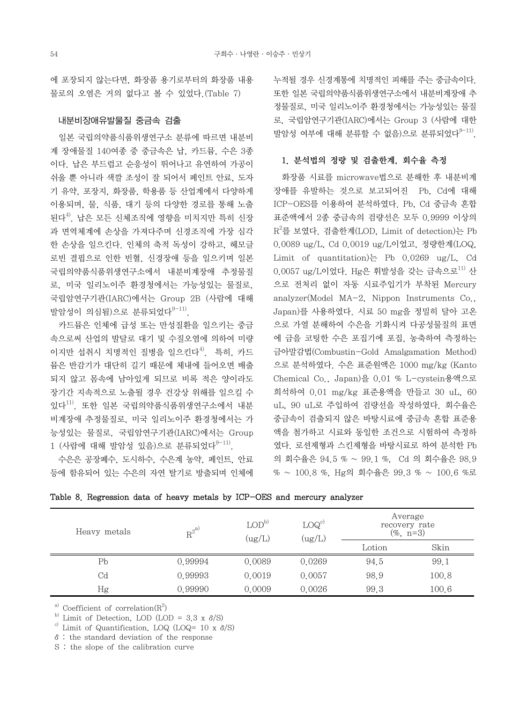에 포장되지 않는다면, 화장품 용기로부터의 화장품 내용 물로의 오염은 거의 없다고 볼 수 있었다.(Table 7)

### 내분비장애유발물질 중금속 검출

 일본 국립의약품식품위생연구소 분류에 따르면 내분비 계 장애물질 140여종 중 중금속은 납, 카드뮴, 수은 3종 이다. 납은 부드럽고 순응성이 뛰어나고 유연하여 가공이 쉬울 뿐 아니라 색깔 조성이 잘 되어서 페인트 안료, 도자 기 유약, 포장지, 화장품, 학용품 등 산업계에서 다양하게 이용되며, 물, 식품, 대기 등의 다양한 경로를 통해 노출 된다<sup>4)</sup>. 납은 모든 신체조직에 영향을 미치지만 특히 신장 과 면역체계에 손상을 가져다주며 신경조직에 가장 심각 한 손상을 일으킨다. 인체의 축적 독성이 강하고, 헤모글 로빈 결핍으로 인한 빈혈, 신경장애 등을 일으키며 일본 국립의약품식품위생연구소에서 내분비계장애 추정물질 로, 미국 일리노이주 환경청에서는 가능성있는 물질로, 국립암연구기관(IARC)에서는 Group 2B (사람에 대해 발암성이 의심됨)으로 분류되었다 $9-11$ .

 카드뮴은 인체에 급성 또는 만성질환을 일으키는 중금 속으로써 산업의 발달로 대기 및 수질오염에 의하여 미량 이지만 섭취시 치명적인 질병을 일으킨다<sup>4)</sup>. 특히, 카드 뮴은 반감기가 대단히 길기 때문에 체내에 들어오면 배출 되지 않고 몸속에 남아있게 되므로 비록 적은 양이라도 장기간 지속적으로 노출될 경우 건강상 위해를 일으킬 수 있다<sup>11)</sup>. 또한 일본 국립의약품식품위생연구소에서 내분 비계장애 추정물질로, 미국 일리노이주 환경청에서는 가 능성있는 물질로, 국립암연구기관(IARC)에서는 Group  $1$  (사람에 대해 발암성 있음)으로 분류되었다 $9-11$ .

 수은은 공장폐수, 도시하수, 수은계 농약, 페인트, 안료 등에 함유되어 있는 수은의 자연 탈기로 방출되며 인체에 누적될 경우 신경계통에 치명적인 피해를 주는 중금속이다. 또한 일본 국립의약품식품위생연구소에서 내분비계장애 추 정물질로, 미국 일리노이주 환경청에서는 가능성있는 물질 로, 국립암연구기관(IARC)에서는 Group 3 (사람에 대한 발암성 여부에 대해 분류할 수 없음)으로 분류되었다 $^{9-11)}$ .

# 1. 분석법의 정량 및 검출한계, 회수율 측정

 화장품 시료를 microwave법으로 분해한 후 내분비계 장애를 유발하는 것으로 보고되어진 Pb, Cd에 대해 ICP-OES를 이용하여 분석하였다. Pb, Cd 중금속 혼합 표준액에서 2종 중금속의 검량선은 모두 0.9999 이상의 R2 를 보였다. 검출한계(LOD, Limit of detection)는 Pb 0.0089 ug/L, Cd 0.0019 ug/L이었고, 정량한계(LOQ, Limit of quantitation)는 Pb 0.0269 ug/L, Cd 0.0057 ug/L이었다. Hg은 휘발성을 갖는 금속으로<sup>11)</sup> 산 으로 전처리 없이 자동 시료주입기가 부착된 Mercury analyzer(Model MA-2, Nippon Instruments Co., Japan)를 사용하였다. 시료 50 mg을 정밀히 달아 고온 으로 가열 분해하여 수은을 기화시켜 다공성물질의 표면 에 금을 코팅한 수은 포집기에 포집, 농축하여 측정하는 금아말감법(Combustin-Gold Amalgamation Method) 으로 분석하였다. 수은 표준원액은 1000 mg/kg (Kanto Chemical Co., Japan)을 0.01 % L-cystein용액으로 희석하여 0.01 mg/kg 표준용액을 만들고 30 uL, 60 uL, 90 uL로 주입하여 검량선을 작성하였다. 회수율은 중금속이 검출되지 않은 바탕시료에 중금속 혼합 표준용 액을 첨가하고 시료와 동일한 조건으로 시험하여 측정하 였다. 로션제형과 스킨제형을 바탕시료로 하여 분석한 Pb 의 회수율은 94.5 % ~ 99.1 %, Cd 의 회수율은 98.9 % ~ 100.8 %, Hg의 회수율은 99.3 % ~ 100.6 %로

| Heavy metals | $R^{2^{a}}$ | $\text{LOD}^{\text{b}}$<br>$\rm (ug/L)$ | LOG <sup>c</sup><br>(ug/L) | Average<br>recovery rate<br>$(\% , n=3)$ |       |  |
|--------------|-------------|-----------------------------------------|----------------------------|------------------------------------------|-------|--|
|              |             |                                         |                            | Lotion                                   | Skin  |  |
| Pb           | 0.99994     | 0.0089                                  | 0.0269                     | 94.5                                     | 99.1  |  |
| Cd           | 0.99993     | 0.0019                                  | 0.0057                     | 98.9                                     | 100.8 |  |
| Hg           | 0.99990     | 0.0009                                  | 0.0026                     | 99.3                                     | 100.6 |  |

|  |  | Table 8. Regression data of heavy metals by ICP-OES and mercury analyzer |  |  |  |  |  |  |  |  |  |
|--|--|--------------------------------------------------------------------------|--|--|--|--|--|--|--|--|--|
|--|--|--------------------------------------------------------------------------|--|--|--|--|--|--|--|--|--|

<sup>a)</sup> Coefficient of correlation( $R^2$ )

b) Limit of Detection, LOD (LOD = 3.3 x  $\delta$ /S)

<sup>c)</sup> Limit of Quantification, LOQ (LOQ= 10 x  $\delta$ /S)

δ: the standard deviation of the response

S : the slope of the calibration curve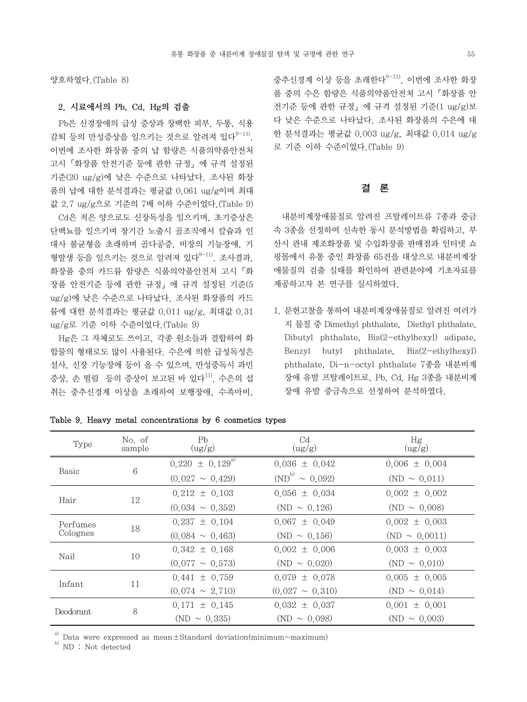양호하였다.(Table 8)

# 2. 시료에서의 Pb, Cd, Hg의 검출

 Pb은 신경장애의 급성 증상과 창백한 피부, 두통, 식용 감퇴 등의 만성증상을 일으키는 것으로 알려져 있다 $9-11$ ). 이번에 조사한 화장품 중의 납 함량은 식품의약품안전처 고시「화장품 안전기준 등에 관한 규정」에 규격 설정된 기준(20 ug/g)에 낮은 수준으로 나타났다. 조사된 화장 품의 납에 대한 분석결과는 평균값 0.061 ug/g이며 최대 값 2.7 ug/g으로 기준의 7배 이하 수준이었다.(Table 9) Cd은 적은 양으로도 신장독성을 일으키며, 초기증상은 단백뇨를 일으키며 장기간 노출시 골조직에서 칼슘과 인 대사 불균형을 초래하며 골다공증, 비장의 기능장애, 기 형발생 등을 일으키는 것으로 알려져 있다<sup>9-11)</sup>. 조사결과, 화장품 중의 카드뮴 함량은 식품의약품안전처 고시「화 장품 안전기준 등에 관한 규정」에 규격 설정된 기준(5 ug/g)에 낮은 수준으로 나타났다. 조사된 화장품의 카드 뮴에 대한 분석결과는 평균값 0.011 ug/g, 최대값 0.31

 Hg은 그 자체로도 쓰이고, 각종 원소들과 결합하여 화 합물의 형태로도 많이 사용된다. 수은에 의한 급성독성은 설사, 신장 기능장애 등이 올 수 있으며, 만성중독시 과민 증상, 손 떨림 등의 증상이 보고된 바 있다<sup>11)</sup>. 수은의 섭 취는 중추신경계 이상을 초래하여 보행장애, 수족마비,

ug/g로 기준 이하 수준이었다.(Table 9)

증추신경계 이상 등을 초래한다 $9-11$ ). 이번에 조사한 화장 품 중의 수은 함량은 식품의약품안전처 고시「화장품 안 전기준 등에 관한 규정」에 규격 설정된 기준(1 ug/g)보 다 낮은 수준으로 나타났다. 조사된 화장품의 수은에 대 한 분석결과는 평균값 0.003 ug/g, 최대값 0.014 ug/g 로 기준 이하 수준이었다.(Table 9)

### 결 론

 내분비계장애물질로 알려진 프탈레이트류 7종과 중금 속 3종을 선정하여 신속한 동시 분석방법을 확립하고, 부 산시 관내 제조화장품 및 수입화장품 판매점과 인터넷 쇼 핑몰에서 유통 중인 화장품 65건을 대상으로 내분비계장 애물질의 검출 실태를 확인하여 관련분야에 기초자료를 제공하고자 본 연구를 실시하였다.

1. 문헌고찰을 통하여 내분비계장애물질로 알려진 여러가 지 물질 중 Dimethyl phthalate, Diethyl phthalate, Dibutyl phthalate, Bis(2-ethylhexyl) adipate, Benzyl butyl phthalate, Bis(2-ethylhexyl) phthalate, Di-n-octyl phthalate 7종을 내분비계 장애 유발 프탈레이트로, Pb, Cd, Hg 3종을 내분비계 장애 유발 중금속으로 선정하여 분석하였다.

| Type                 | No. of<br>sample | P <sub>b</sub><br>(ug/g) | C <sub>d</sub><br>(ug/g) | Hg<br>(ug/g)       |
|----------------------|------------------|--------------------------|--------------------------|--------------------|
|                      | 6                | $0.220 \pm 0.129^{a}$    | $0.036 \pm 0.042$        | $0.006 \pm 0.004$  |
| Basic                |                  | $(0.027 \sim 0.429)$     | $(ND^{b)} \sim 0.092$    | $(ND \sim 0.011)$  |
|                      |                  | $0.212 \pm 0.103$        | $0.056 \pm 0.034$        | $0.002 \pm 0.002$  |
| Hair                 | 12               | $(0.034 \sim 0.352)$     | $(ND \sim 0.126)$        | $(ND \sim 0.008)$  |
| Perfumes<br>Colognes | 18               | $0.237 \pm 0.104$        | $0.067 \pm 0.049$        | $0.002 \pm 0.003$  |
|                      |                  | $(0.084 \sim 0.463)$     | $(ND \sim 0.156)$        | $(ND \sim 0.0011)$ |
| Nail                 | 10               | $0.342 \pm 0.168$        | $0.002 \pm 0.006$        | $0.003 \pm 0.003$  |
|                      |                  | $(0.077 \sim 0.573)$     | $(ND \sim 0.020)$        | $(ND \sim 0.010)$  |
| Infant               | 11               | $0.441 \pm 0.759$        | $0.079 \pm 0.078$        | $0.005 \pm 0.005$  |
|                      |                  | $(0.074 \sim 2.710)$     | $(0.027 \sim 0.310)$     | $(ND \sim 0.014)$  |
|                      |                  | $0.171 \pm 0.145$        | $0.032 \pm 0.037$        | $0.001 \pm 0.001$  |
| Deodorant            | 8                | $(ND \sim 0.335)$        | $(ND \sim 0.098)$        | $(ND \sim 0.003)$  |

Table 9. Heavy metal concentrations by 6 cosmetics types

 $\,^{\rm a)}$  Data were expressed as mean $\pm$ Standard deviation(minimum~maximum) ND : Not detected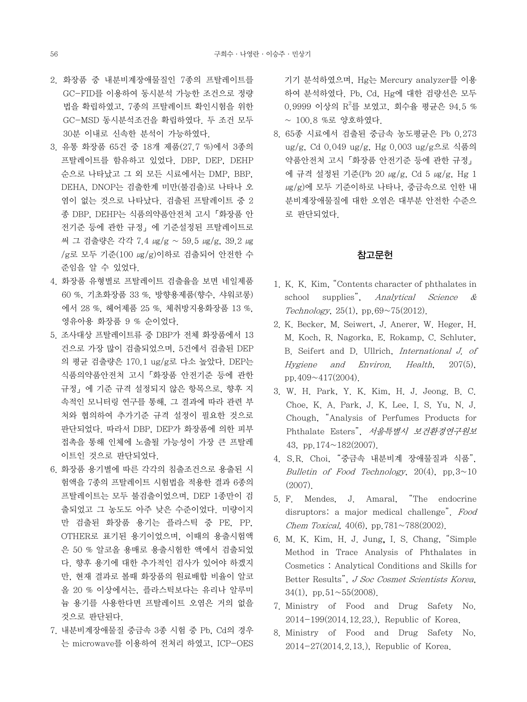- 2. 화장품 중 내분비계장애물질인 7종의 프탈레이트를 GC-FID를 이용하여 동시분석 가능한 조건으로 정량 법을 확립하였고, 7종의 프탈레이트 확인시험을 위한 GC-MSD 동시분석조건을 확립하였다. 두 조건 모두 30분 이내로 신속한 분석이 가능하였다.
- 3. 유통 화장품 65건 중 18개 제품(27.7 %)에서 3종의 프탈레이트를 함유하고 있었다. DBP, DEP, DEHP 순으로 나타났고 그 외 모든 시료에서는 DMP, BBP, DEHA, DNOP는 검출한계 미만(불검출)로 나타나 오 염이 없는 것으로 나타났다. 검출된 프탈레이트 중 2 종 DBP, DEHP는 식품의약품안전처 고시「화장품 안 전기준 등에 관한 규정」에 기준설정된 프탈레이트로 써 그 검출량은 각각 7.4 ㎍/g ~ 59.5 ㎍/g, 39.2 ㎍ /g로 모두 기준(100 ㎍/g)이하로 검출되어 안전한 수 준임을 알 수 있었다.
- 4. 화장품 유형별로 프탈레이트 검출율을 보면 네일제품 60 %, 기초화장품 33 %, 방향용제품(향수, 샤워코롱) 에서 28 %, 헤어제품 25 %, 체취방지용화장품 13 %, 영유아용 화장품 9 % 순이었다.
- 5. 조사대상 프탈레이트류 중 DBP가 전체 화장품에서 13 건으로 가장 많이 검출되었으며, 5건에서 검출된 DEP 의 평균 검출량은 170.1 ug/g로 다소 높았다. DEP는 식품의약품안전처 고시「화장품 안전기준 등에 관한 규정」에 기준 규격 설정되지 않은 항목으로, 향후 지 속적인 모니터링 연구를 통해, 그 결과에 따라 관련 부 처와 협의하여 추가기준 규격 설정이 필요한 것으로 판단되었다. 따라서 DBP, DEP가 화장품에 의한 피부 접촉을 통해 인체에 노출될 가능성이 가장 큰 프탈레 이트인 것으로 판단되었다.
- 6. 화장품 용기별에 따른 각각의 침출조건으로 용출된 시 험액을 7종의 프탈레이트 시험법을 적용한 결과 6종의 프탈레이트는 모두 불검출이었으며, DEP 1종만이 검 출되었고 그 농도도 아주 낮은 수준이었다. 미량이지 만 검출된 화장품 용기는 플라스틱 중 PE, PP, OTHER로 표기된 용기이었으며, 이때의 용출시험액 은 50 % 알코올 용매로 용출시험한 액에서 검출되었 다. 향후 용기에 대한 추가적인 검사가 있어야 하겠지 만, 현재 결과로 볼때 화장품의 원료배합 비율이 알코 올 20 % 이상에서는, 플라스틱보다는 유리나 알루미 늄 용기를 사용한다면 프탈레이트 오염은 거의 없을 것으로 판단된다.
- 7. 내분비계장애물질 중금속 3종 시험 중 Pb, Cd의 경우 는 microwave를 이용하여 전처리 하였고, ICP-OES

기기 분석하였으며, Hg는 Mercury analyzer를 이용 하여 분석하였다. Pb, Cd, Hg에 대한 검량선은 모두 0.9999 이상의 R $^{2}$ 를 보였고, 회수율 평균은 94.5 % ~ 100.8 %로 양호하였다.

8. 65종 시료에서 검출된 중금속 농도평균은 Pb 0.273 ug/g, Cd 0.049 ug/g, Hg 0.003 ug/g으로 식품의 약품안전처 고시「화장품 안전기준 등에 관한 규정」 에 규격 설정된 기준(Pb 20 ㎍/g, Cd 5 ㎍/g, Hg 1 μg/g)에 모두 기준이하로 나타나, 중금속으로 인한 내 분비계장애물질에 대한 오염은 대부분 안전한 수준으 로 판단되었다.

# 참고문헌

- 1. K. K. Kim, "Contents character of phthalates in school supplies", Analytical Science & Technology,  $25(1)$ , pp. $69~75(2012)$ .
- 2. K. Becker, M. Seiwert, J. Anerer, W. Heger, H. M. Koch, R. Nagorka, E. Rokamp, C. Schluter, B. Seifert and D. Ullrich, International J. of Hygiene and Environ. Health, 207(5), pp.409~417(2004).
- 3. W. H. Park, Y. K. Kim, H. J. Jeong. B. C. Choe, K. A. Park, J. K. Lee, I. S. Yu, N. J. Chough, "Analysis of Perfumes Products for Phthalate Esters", 서울특별시 보건환경연구원보 43, pp.174~182(2007).
- 4. S.R. Choi, "중금속 내분비계 장애물질과 식품", Bulletin of Food Technology,  $20(4)$ , pp.  $3 \sim 10$ (2007).
- 5. F. Mendes, J. Amaral, "The endocrine disruptors: a major medical challenge". Food Chem Toxical,  $40(6)$ , pp.  $781 \sim 788(2002)$ .
- 6. M. K. Kim, H. J. Jung, I. S. Chang, "Simple Method in Trace Analysis of Phthalates in Cosmetics : Analytical Conditions and Skills for Better Results", J Soc Cosmet Scientists Korea, 34(1), pp.  $51 \sim 55(2008)$ .
- 7. Ministry of Food and Drug Safety No. 2014-199(2014.12.23.), Republic of Korea.
- 8. Ministry of Food and Drug Safety No. 2014-27(2014.2.13.), Republic of Korea.